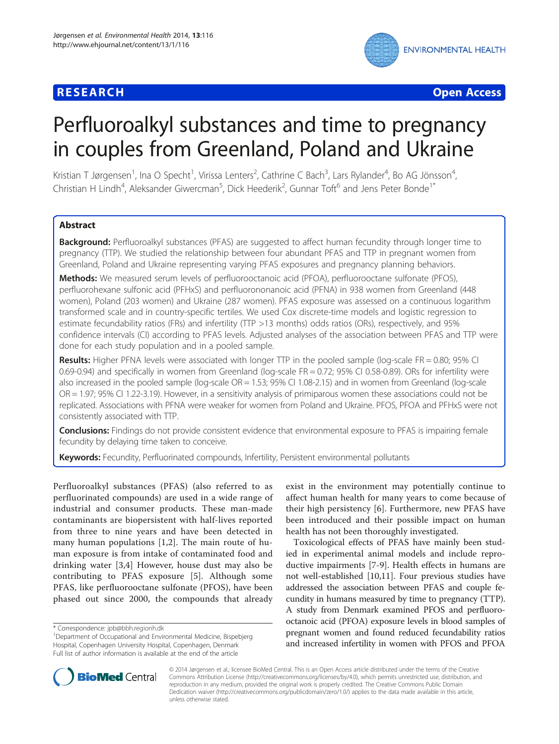# **RESEARCH CHE Open Access**



# Perfluoroalkyl substances and time to pregnancy in couples from Greenland, Poland and Ukraine

Kristian T Jørgensen<sup>1</sup>, Ina O Specht<sup>1</sup>, Virissa Lenters<sup>2</sup>, Cathrine C Bach<sup>3</sup>, Lars Rylander<sup>4</sup>, Bo AG Jönsson<sup>4</sup> , Christian H Lindh<sup>4</sup>, Aleksander Giwercman<sup>5</sup>, Dick Heederik<sup>2</sup>, Gunnar Toft<sup>6</sup> and Jens Peter Bonde<sup>1\*</sup>

# Abstract

Background: Perfluoroalkyl substances (PFAS) are suggested to affect human fecundity through longer time to pregnancy (TTP). We studied the relationship between four abundant PFAS and TTP in pregnant women from Greenland, Poland and Ukraine representing varying PFAS exposures and pregnancy planning behaviors.

Methods: We measured serum levels of perfluorooctanoic acid (PFOA), perfluorooctane sulfonate (PFOS), perfluorohexane sulfonic acid (PFHxS) and perfluorononanoic acid (PFNA) in 938 women from Greenland (448 women), Poland (203 women) and Ukraine (287 women). PFAS exposure was assessed on a continuous logarithm transformed scale and in country-specific tertiles. We used Cox discrete-time models and logistic regression to estimate fecundability ratios (FRs) and infertility (TTP >13 months) odds ratios (ORs), respectively, and 95% confidence intervals (CI) according to PFAS levels. Adjusted analyses of the association between PFAS and TTP were done for each study population and in a pooled sample.

Results: Higher PFNA levels were associated with longer TTP in the pooled sample (log-scale FR = 0.80; 95% CI 0.69-0.94) and specifically in women from Greenland (log-scale FR = 0.72; 95% CI 0.58-0.89). ORs for infertility were also increased in the pooled sample (log-scale OR = 1.53; 95% CI 1.08-2.15) and in women from Greenland (log-scale OR = 1.97; 95% CI 1.22-3.19). However, in a sensitivity analysis of primiparous women these associations could not be replicated. Associations with PFNA were weaker for women from Poland and Ukraine. PFOS, PFOA and PFHxS were not consistently associated with TTP.

Conclusions: Findings do not provide consistent evidence that environmental exposure to PFAS is impairing female fecundity by delaying time taken to conceive.

Keywords: Fecundity, Perfluorinated compounds, Infertility, Persistent environmental pollutants

Perfluoroalkyl substances (PFAS) (also referred to as perfluorinated compounds) are used in a wide range of industrial and consumer products. These man-made contaminants are biopersistent with half-lives reported from three to nine years and have been detected in many human populations [[1,2](#page-7-0)]. The main route of human exposure is from intake of contaminated food and drinking water [\[3](#page-7-0),[4\]](#page-7-0) However, house dust may also be contributing to PFAS exposure [\[5](#page-7-0)]. Although some PFAS, like perfluorooctane sulfonate (PFOS), have been phased out since 2000, the compounds that already

exist in the environment may potentially continue to affect human health for many years to come because of their high persistency [[6\]](#page-7-0). Furthermore, new PFAS have been introduced and their possible impact on human health has not been thoroughly investigated.

Toxicological effects of PFAS have mainly been studied in experimental animal models and include reproductive impairments [\[7-9](#page-7-0)]. Health effects in humans are not well-established [\[10,11](#page-7-0)]. Four previous studies have addressed the association between PFAS and couple fecundity in humans measured by time to pregnancy (TTP). A study from Denmark examined PFOS and perfluorooctanoic acid (PFOA) exposure levels in blood samples of pregnant women and found reduced fecundability ratios and increased infertility in women with PFOS and PFOA



© 2014 Jørgensen et al.; licensee BioMed Central. This is an Open Access article distributed under the terms of the Creative Commons Attribution License [\(http://creativecommons.org/licenses/by/4.0\)](http://creativecommons.org/licenses/by/4.0), which permits unrestricted use, distribution, and reproduction in any medium, provided the original work is properly credited. The Creative Commons Public Domain Dedication waiver [\(http://creativecommons.org/publicdomain/zero/1.0/](http://creativecommons.org/publicdomain/zero/1.0/)) applies to the data made available in this article, unless otherwise stated.

<sup>\*</sup> Correspondence: [jpb@bbh.regionh.dk](mailto:jpb@bbh.regionh.dk) <sup>1</sup>

<sup>&</sup>lt;sup>1</sup>Department of Occupational and Environmental Medicine, Bispebjerg Hospital, Copenhagen University Hospital, Copenhagen, Denmark Full list of author information is available at the end of the article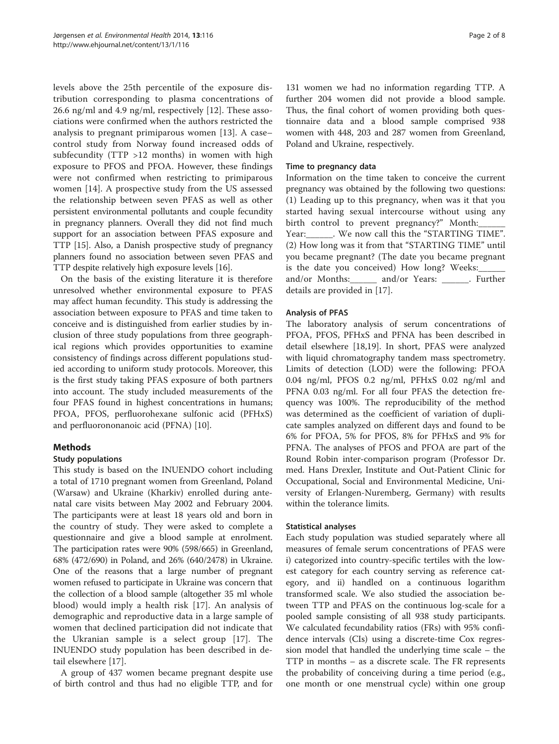levels above the 25th percentile of the exposure distribution corresponding to plasma concentrations of 26.6 ng/ml and 4.9 ng/ml, respectively [\[12](#page-7-0)]. These associations were confirmed when the authors restricted the analysis to pregnant primiparous women [\[13](#page-7-0)]. A case– control study from Norway found increased odds of subfecundity (TTP >12 months) in women with high exposure to PFOS and PFOA. However, these findings were not confirmed when restricting to primiparous women [[14\]](#page-7-0). A prospective study from the US assessed the relationship between seven PFAS as well as other persistent environmental pollutants and couple fecundity in pregnancy planners. Overall they did not find much support for an association between PFAS exposure and TTP [[15](#page-7-0)]. Also, a Danish prospective study of pregnancy planners found no association between seven PFAS and TTP despite relatively high exposure levels [[16](#page-7-0)].

On the basis of the existing literature it is therefore unresolved whether environmental exposure to PFAS may affect human fecundity. This study is addressing the association between exposure to PFAS and time taken to conceive and is distinguished from earlier studies by inclusion of three study populations from three geographical regions which provides opportunities to examine consistency of findings across different populations studied according to uniform study protocols. Moreover, this is the first study taking PFAS exposure of both partners into account. The study included measurements of the four PFAS found in highest concentrations in humans; PFOA, PFOS, perfluorohexane sulfonic acid (PFHxS) and perfluorononanoic acid (PFNA) [\[10](#page-7-0)].

## Methods

## Study populations

This study is based on the INUENDO cohort including a total of 1710 pregnant women from Greenland, Poland (Warsaw) and Ukraine (Kharkiv) enrolled during antenatal care visits between May 2002 and February 2004. The participants were at least 18 years old and born in the country of study. They were asked to complete a questionnaire and give a blood sample at enrolment. The participation rates were 90% (598/665) in Greenland, 68% (472/690) in Poland, and 26% (640/2478) in Ukraine. One of the reasons that a large number of pregnant women refused to participate in Ukraine was concern that the collection of a blood sample (altogether 35 ml whole blood) would imply a health risk [[17\]](#page-7-0). An analysis of demographic and reproductive data in a large sample of women that declined participation did not indicate that the Ukranian sample is a select group [\[17](#page-7-0)]. The INUENDO study population has been described in detail elsewhere [[17](#page-7-0)].

A group of 437 women became pregnant despite use of birth control and thus had no eligible TTP, and for

131 women we had no information regarding TTP. A further 204 women did not provide a blood sample. Thus, the final cohort of women providing both questionnaire data and a blood sample comprised 938 women with 448, 203 and 287 women from Greenland, Poland and Ukraine, respectively.

#### Time to pregnancy data

Information on the time taken to conceive the current pregnancy was obtained by the following two questions: (1) Leading up to this pregnancy, when was it that you started having sexual intercourse without using any birth control to prevent pregnancy?" Month: Year: We now call this the "STARTING TIME". (2) How long was it from that "STARTING TIME" until you became pregnant? (The date you became pregnant is the date you conceived) How long? Weeks: and/or Months:\_\_\_\_\_\_ and/or Years: \_\_\_\_\_\_. Further details are provided in [[17](#page-7-0)].

## Analysis of PFAS

The laboratory analysis of serum concentrations of PFOA, PFOS, PFHxS and PFNA has been described in detail elsewhere [\[18,19](#page-7-0)]. In short, PFAS were analyzed with liquid chromatography tandem mass spectrometry. Limits of detection (LOD) were the following: PFOA 0.04 ng/ml, PFOS 0.2 ng/ml, PFHxS 0.02 ng/ml and PFNA 0.03 ng/ml. For all four PFAS the detection frequency was 100%. The reproducibility of the method was determined as the coefficient of variation of duplicate samples analyzed on different days and found to be 6% for PFOA, 5% for PFOS, 8% for PFHxS and 9% for PFNA. The analyses of PFOS and PFOA are part of the Round Robin inter-comparison program (Professor Dr. med. Hans Drexler, Institute and Out-Patient Clinic for Occupational, Social and Environmental Medicine, University of Erlangen-Nuremberg, Germany) with results within the tolerance limits.

## Statistical analyses

Each study population was studied separately where all measures of female serum concentrations of PFAS were i) categorized into country-specific tertiles with the lowest category for each country serving as reference category, and ii) handled on a continuous logarithm transformed scale. We also studied the association between TTP and PFAS on the continuous log-scale for a pooled sample consisting of all 938 study participants. We calculated fecundability ratios (FRs) with 95% confidence intervals (CIs) using a discrete-time Cox regression model that handled the underlying time scale – the TTP in months – as a discrete scale. The FR represents the probability of conceiving during a time period (e.g., one month or one menstrual cycle) within one group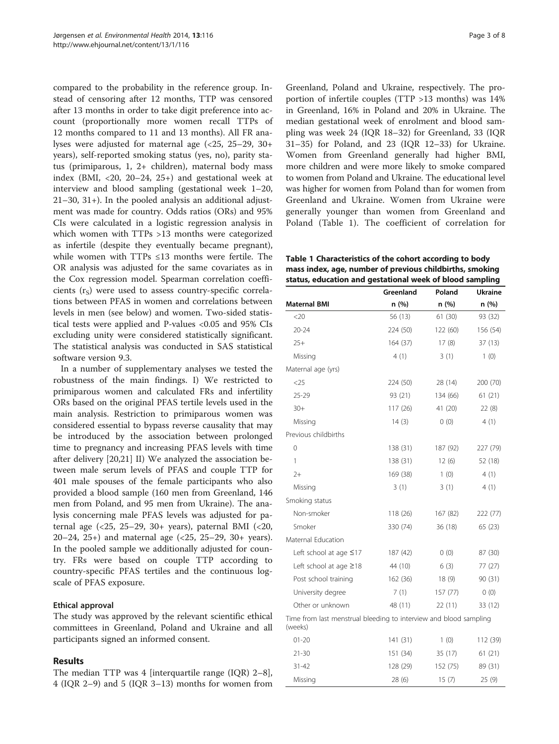compared to the probability in the reference group. Instead of censoring after 12 months, TTP was censored after 13 months in order to take digit preference into account (proportionally more women recall TTPs of 12 months compared to 11 and 13 months). All FR analyses were adjusted for maternal age (<25, 25–29, 30+ years), self-reported smoking status (yes, no), parity status (primiparous, 1, 2+ children), maternal body mass index (BMI,  $\langle 20, 20-24, 25+ \rangle$  and gestational week at interview and blood sampling (gestational week 1–20, 21–30, 31+). In the pooled analysis an additional adjustment was made for country. Odds ratios (ORs) and 95% CIs were calculated in a logistic regression analysis in which women with TTPs >13 months were categorized as infertile (despite they eventually became pregnant), while women with TTPs ≤13 months were fertile. The OR analysis was adjusted for the same covariates as in the Cox regression model. Spearman correlation coefficients  $(r<sub>s</sub>)$  were used to assess country-specific correlations between PFAS in women and correlations between levels in men (see below) and women. Two-sided statistical tests were applied and P-values <0.05 and 95% CIs excluding unity were considered statistically significant. The statistical analysis was conducted in SAS statistical software version 9.3.

In a number of supplementary analyses we tested the robustness of the main findings. I) We restricted to primiparous women and calculated FRs and infertility ORs based on the original PFAS tertile levels used in the main analysis. Restriction to primiparous women was considered essential to bypass reverse causality that may be introduced by the association between prolonged time to pregnancy and increasing PFAS levels with time after delivery [[20,21](#page-7-0)] II) We analyzed the association between male serum levels of PFAS and couple TTP for 401 male spouses of the female participants who also provided a blood sample (160 men from Greenland, 146 men from Poland, and 95 men from Ukraine). The analysis concerning male PFAS levels was adjusted for paternal age (<25, 25–29, 30+ years), paternal BMI (<20, 20–24, 25+) and maternal age (<25, 25–29, 30+ years). In the pooled sample we additionally adjusted for country. FRs were based on couple TTP according to country-specific PFAS tertiles and the continuous logscale of PFAS exposure.

## Ethical approval

The study was approved by the relevant scientific ethical committees in Greenland, Poland and Ukraine and all participants signed an informed consent.

# Results

The median TTP was 4 [interquartile range (IQR) 2–8], 4 (IQR 2–9) and 5 (IQR 3–13) months for women from

Greenland, Poland and Ukraine, respectively. The proportion of infertile couples (TTP >13 months) was 14% in Greenland, 16% in Poland and 20% in Ukraine. The median gestational week of enrolment and blood sampling was week 24 (IQR 18–32) for Greenland, 33 (IQR 31–35) for Poland, and 23 (IQR 12–33) for Ukraine. Women from Greenland generally had higher BMI, more children and were more likely to smoke compared to women from Poland and Ukraine. The educational level was higher for women from Poland than for women from Greenland and Ukraine. Women from Ukraine were generally younger than women from Greenland and Poland (Table 1). The coefficient of correlation for

Table 1 Characteristics of the cohort according to body mass index, age, number of previous childbirths, smoking status, education and gestational week of blood sampling

|                                                                              | Greenland | Poland   | <b>Ukraine</b> |  |  |  |
|------------------------------------------------------------------------------|-----------|----------|----------------|--|--|--|
| Maternal BMI                                                                 | n (%)     | n (%)    | n (%)          |  |  |  |
| <20                                                                          | 56 (13)   | 61(30)   | 93 (32)        |  |  |  |
| $20 - 24$                                                                    | 224 (50)  | 122 (60) | 156 (54)       |  |  |  |
| $25+$                                                                        | 164 (37)  | 17(8)    | 37 (13)        |  |  |  |
| Missing                                                                      | 4(1)      | 3(1)     | 1(0)           |  |  |  |
| Maternal age (yrs)                                                           |           |          |                |  |  |  |
| $<$ 25                                                                       | 224 (50)  | 28 (14)  | 200 (70)       |  |  |  |
| $25 - 29$                                                                    | 93 (21)   | 134 (66) | 61 (21)        |  |  |  |
| $30+$                                                                        | 117 (26)  | 41 (20)  | 22(8)          |  |  |  |
| Missing                                                                      | 14(3)     | 0(0)     | 4(1)           |  |  |  |
| Previous childbirths                                                         |           |          |                |  |  |  |
| 0                                                                            | 138 (31)  | 187 (92) | 227 (79)       |  |  |  |
| 1                                                                            | 138 (31)  | 12(6)    | 52 (18)        |  |  |  |
| $2+$                                                                         | 169 (38)  | 1(0)     | 4 (1)          |  |  |  |
| Missing                                                                      | 3(1)      | 3(1)     | 4(1)           |  |  |  |
| Smoking status                                                               |           |          |                |  |  |  |
| Non-smoker                                                                   | 118 (26)  | 167 (82) | 222 (77)       |  |  |  |
| Smoker                                                                       | 330 (74)  | 36(18)   | 65 (23)        |  |  |  |
| Maternal Education                                                           |           |          |                |  |  |  |
| Left school at age $\leq$ 17                                                 | 187 (42)  | 0(0)     | 87 (30)        |  |  |  |
| Left school at age $\geq$ 18                                                 | 44 (10)   | 6(3)     | 77 (27)        |  |  |  |
| Post school training                                                         | 162 (36)  | 18(9)    | 90 (31)        |  |  |  |
| University degree                                                            | 7(1)      | 157 (77) | 0(0)           |  |  |  |
| Other or unknown                                                             | 48 (11)   | 22(11)   | 33 (12)        |  |  |  |
| Time from last menstrual bleeding to interview and blood sampling<br>(weeks) |           |          |                |  |  |  |
| $01 - 20$                                                                    | 141 (31)  | 1(0)     | 112 (39)       |  |  |  |
| 21-30                                                                        | 151 (34)  | 35 (17)  | 61 (21)        |  |  |  |
| 31-42                                                                        | 128 (29)  | 152 (75) | 89 (31)        |  |  |  |
| Missing                                                                      | 28 (6)    | 15(7)    | 25(9)          |  |  |  |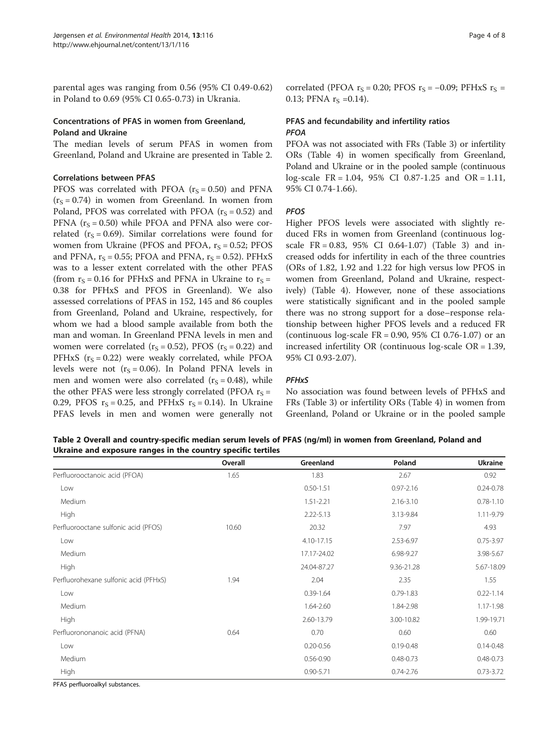parental ages was ranging from 0.56 (95% CI 0.49-0.62) in Poland to 0.69 (95% CI 0.65-0.73) in Ukrania.

# Concentrations of PFAS in women from Greenland, Poland and Ukraine

The median levels of serum PFAS in women from Greenland, Poland and Ukraine are presented in Table 2.

#### Correlations between PFAS

PFOS was correlated with PFOA ( $r_S = 0.50$ ) and PFNA  $(r<sub>S</sub> = 0.74)$  in women from Greenland. In women from Poland, PFOS was correlated with PFOA ( $r_S = 0.52$ ) and PFNA  $(r<sub>S</sub> = 0.50)$  while PFOA and PFNA also were correlated ( $r_S = 0.69$ ). Similar correlations were found for women from Ukraine (PFOS and PFOA,  $r_s = 0.52$ ; PFOS and PFNA,  $r_S = 0.55$ ; PFOA and PFNA,  $r_S = 0.52$ ). PFHxS was to a lesser extent correlated with the other PFAS (from  $r_s = 0.16$  for PFHxS and PFNA in Ukraine to  $r_s =$ 0.38 for PFHxS and PFOS in Greenland). We also assessed correlations of PFAS in 152, 145 and 86 couples from Greenland, Poland and Ukraine, respectively, for whom we had a blood sample available from both the man and woman. In Greenland PFNA levels in men and women were correlated ( $r_S = 0.52$ ), PFOS ( $r_S = 0.22$ ) and PFHxS  $(r<sub>S</sub> = 0.22)$  were weakly correlated, while PFOA levels were not  $(r<sub>S</sub> = 0.06)$ . In Poland PFNA levels in men and women were also correlated ( $r_S = 0.48$ ), while the other PFAS were less strongly correlated (PFOA  $r_s =$ 0.29, PFOS  $r_s = 0.25$ , and PFHxS  $r_s = 0.14$ ). In Ukraine PFAS levels in men and women were generally not

correlated (PFOA  $r_S = 0.20$ ; PFOS  $r_S = -0.09$ ; PFHxS  $r_S =$ 0.13; PFNA  $r_S = 0.14$ ).

# PFAS and fecundability and infertility ratios PFOA

PFOA was not associated with FRs (Table [3\)](#page-4-0) or infertility ORs (Table [4](#page-4-0)) in women specifically from Greenland, Poland and Ukraine or in the pooled sample (continuous log-scale FR = 1.04, 95% CI 0.87-1.25 and OR = 1.11, 95% CI 0.74-1.66).

# PFOS

Higher PFOS levels were associated with slightly reduced FRs in women from Greenland (continuous logscale FR = 0.83, 95% CI 0.64-1.07) (Table [3\)](#page-4-0) and increased odds for infertility in each of the three countries (ORs of 1.82, 1.92 and 1.22 for high versus low PFOS in women from Greenland, Poland and Ukraine, respectively) (Table [4](#page-4-0)). However, none of these associations were statistically significant and in the pooled sample there was no strong support for a dose–response relationship between higher PFOS levels and a reduced FR (continuous  $log-scale FR = 0.90, 95\% CI 0.76-1.07$ ) or an increased infertility OR (continuous log-scale OR = 1.39, 95% CI 0.93-2.07).

## **PFH<sub>x</sub>S**

No association was found between levels of PFHxS and FRs (Table [3](#page-4-0)) or infertility ORs (Table [4\)](#page-4-0) in women from Greenland, Poland or Ukraine or in the pooled sample

Table 2 Overall and country-specific median serum levels of PFAS (ng/ml) in women from Greenland, Poland and Ukraine and exposure ranges in the country specific tertiles

|                                       | Overall | Greenland     | Poland        | <b>Ukraine</b> |
|---------------------------------------|---------|---------------|---------------|----------------|
| Perfluorooctanoic acid (PFOA)         | 1.65    | 1.83          | 2.67          | 0.92           |
| Low                                   |         | $0.50 - 1.51$ | $0.97 - 2.16$ | $0.24 - 0.78$  |
| Medium                                |         | $1.51 - 2.21$ | 2.16-3.10     | $0.78 - 1.10$  |
| High                                  |         | 2.22-5.13     | 3.13-9.84     | 1.11-9.79      |
| Perfluorooctane sulfonic acid (PFOS)  | 10.60   | 20.32         | 7.97          | 4.93           |
| Low                                   |         | 4.10-17.15    | 2.53-6.97     | $0.75 - 3.97$  |
| Medium                                |         | 17.17-24.02   | 6.98-9.27     | 3.98-5.67      |
| High                                  |         | 24.04-87.27   | 9.36-21.28    | 5.67-18.09     |
| Perfluorohexane sulfonic acid (PFHxS) | 1.94    | 2.04          | 2.35          | 1.55           |
| Low                                   |         | $0.39 - 1.64$ | $0.79 - 1.83$ | $0.22 - 1.14$  |
| Medium                                |         | 1.64-2.60     | 1.84-2.98     | 1.17-1.98      |
| High                                  |         | 2.60-13.79    | 3.00-10.82    | 1.99-19.71     |
| Perfluorononanoic acid (PFNA)         | 0.64    | 0.70          | 0.60          | 0.60           |
| Low                                   |         | $0.20 - 0.56$ | $0.19 - 0.48$ | $0.14 - 0.48$  |
| Medium                                |         | $0.56 - 0.90$ | $0.48 - 0.73$ | $0.48 - 0.73$  |
| High                                  |         | $0.90 - 5.71$ | $0.74 - 2.76$ | $0.73 - 3.72$  |

PFAS perfluoroalkyl substances.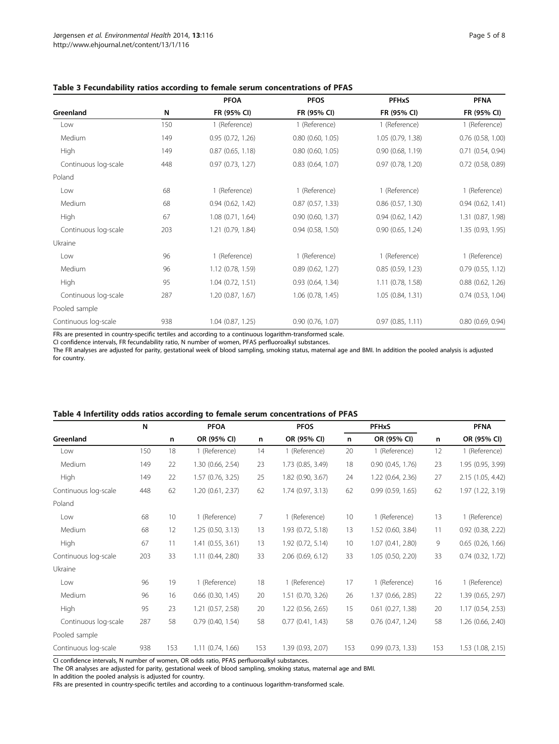|                      |     | <b>PFOA</b>         | <b>PFOS</b>           | <b>PFHxS</b>          | <b>PFNA</b>           |  |
|----------------------|-----|---------------------|-----------------------|-----------------------|-----------------------|--|
| Greenland            | N   | FR (95% CI)         | FR (95% CI)           | FR (95% CI)           | FR (95% CI)           |  |
| Low                  | 150 | 1 (Reference)       | 1 (Reference)         | 1 (Reference)         | 1 (Reference)         |  |
| Medium               | 149 | 0.95(0.72, 1.26)    | $0.80$ $(0.60, 1.05)$ | 1.05 (0.79, 1.38)     | $0.76$ (0.58, 1.00)   |  |
| High                 | 149 | 0.87(0.65, 1.18)    | $0.80$ $(0.60, 1.05)$ | 0.90(0.68, 1.19)      | $0.71$ $(0.54, 0.94)$ |  |
| Continuous log-scale | 448 | 0.97(0.73, 1.27)    | $0.83$ $(0.64, 1.07)$ | 0.97(0.78, 1.20)      | $0.72$ (0.58, 0.89)   |  |
| Poland               |     |                     |                       |                       |                       |  |
| Low                  | 68  | 1 (Reference)       | 1 (Reference)         | 1 (Reference)         | 1 (Reference)         |  |
| Medium               | 68  | 0.94(0.62, 1.42)    | $0.87$ $(0.57, 1.33)$ | $0.86$ $(0.57, 1.30)$ | 0.94(0.62, 1.41)      |  |
| High                 | 67  | 1.08 (0.71, 1.64)   | $0.90$ $(0.60, 1.37)$ | $0.94$ $(0.62, 1.42)$ | 1.31 (0.87, 1.98)     |  |
| Continuous log-scale | 203 | 1.21 (0.79, 1.84)   | $0.94$ $(0.58, 1.50)$ | $0.90$ $(0.65, 1.24)$ | 1.35 (0.93, 1.95)     |  |
| Ukraine              |     |                     |                       |                       |                       |  |
| Low                  | 96  | 1 (Reference)       | 1 (Reference)         | 1 (Reference)         | 1 (Reference)         |  |
| Medium               | 96  | 1.12 (0.78, 1.59)   | $0.89$ $(0.62, 1.27)$ | 0.85(0.59, 1.23)      | 0.79 (0.55, 1.12)     |  |
| High                 | 95  | 1.04 (0.72, 1.51)   | 0.93(0.64, 1.34)      | $1.11$ (0.78, 1.58)   | $0.88$ $(0.62, 1.26)$ |  |
| Continuous log-scale | 287 | 1.20 (0.87, 1.67)   | 1.06 (0.78, 1.45)     | 1.05(0.84, 1.31)      | $0.74$ $(0.53, 1.04)$ |  |
| Pooled sample        |     |                     |                       |                       |                       |  |
| Continuous log-scale | 938 | $1.04$ (0.87, 1.25) | $0.90$ $(0.76, 1.07)$ | $0.97$ $(0.85, 1.11)$ | $0.80$ (0.69, 0.94)   |  |

#### <span id="page-4-0"></span>Table 3 Fecundability ratios according to female serum concentrations of PFAS

FRs are presented in country-specific tertiles and according to a continuous logarithm-transformed scale.

CI confidence intervals, FR fecundability ratio, N number of women, PFAS perfluoroalkyl substances.

The FR analyses are adjusted for parity, gestational week of blood sampling, smoking status, maternal age and BMI. In addition the pooled analysis is adjusted for country.

#### Table 4 Infertility odds ratios according to female serum concentrations of PFAS

|                      | N   | n   | <b>PFOA</b><br>OR (95% CI) | n   | <b>PFOS</b><br>OR (95% CI) | <b>PFHxS</b> |                       |     | <b>PFNA</b>           |
|----------------------|-----|-----|----------------------------|-----|----------------------------|--------------|-----------------------|-----|-----------------------|
| Greenland            |     |     |                            |     |                            | n            | OR (95% CI)           | n   | OR (95% CI)           |
| Low                  | 150 | 18  | 1 (Reference)              | 14  | 1 (Reference)              | 20           | 1 (Reference)         | 12  | 1 (Reference)         |
| Medium               | 149 | 22  | 1.30 (0.66, 2.54)          | 23  | 1.73 (0.85, 3.49)          | 18           | 0.90(0.45, 1.76)      | 23  | 1.95 (0.95, 3.99)     |
| High                 | 149 | 22  | 1.57 (0.76, 3.25)          | 25  | 1.82 (0.90, 3.67)          | 24           | 1.22 (0.64, 2.36)     | 27  | 2.15 (1.05, 4.42)     |
| Continuous log-scale | 448 | 62  | 1.20 (0.61, 2.37)          | 62  | 1.74(0.97, 3.13)           | 62           | 0.99(0.59, 1.65)      | 62  | 1.97 (1.22, 3.19)     |
| Poland               |     |     |                            |     |                            |              |                       |     |                       |
| Low                  | 68  | 10  | 1 (Reference)              | 7   | 1 (Reference)              | 10           | 1 (Reference)         | 13  | 1 (Reference)         |
| Medium               | 68  | 12  | 1.25(0.50, 3.13)           | 13  | 1.93 (0.72, 5.18)          | 13           | 1.52 (0.60, 3.84)     | 11  | $0.92$ $(0.38, 2.22)$ |
| High                 | 67  | 11  | 1.41 (0.55, 3.61)          | 13  | 1.92 (0.72, 5.14)          | 10           | 1.07(0.41, 2.80)      | 9   | $0.65$ $(0.26, 1.66)$ |
| Continuous log-scale | 203 | 33  | 1.11 (0.44, 2.80)          | 33  | 2.06 (0.69, 6.12)          | 33           | 1.05(0.50, 2.20)      | 33  | $0.74$ $(0.32, 1.72)$ |
| Ukraine              |     |     |                            |     |                            |              |                       |     |                       |
| Low                  | 96  | 19  | 1 (Reference)              | 18  | 1 (Reference)              | 17           | 1 (Reference)         | 16  | 1 (Reference)         |
| Medium               | 96  | 16  | $0.66$ $(0.30, 1.45)$      | 20  | 1.51 (0.70, 3.26)          | 26           | 1.37 (0.66, 2.85)     | 22  | 1.39 (0.65, 2.97)     |
| High                 | 95  | 23  | 1.21 (0.57, 2.58)          | 20  | 1.22 (0.56, 2.65)          | 15           | $0.61$ $(0.27, 1.38)$ | 20  | 1.17 (0.54, 2.53)     |
| Continuous log-scale | 287 | 58  | $0.79$ (0.40, 1.54)        | 58  | 0.77(0.41, 1.43)           | 58           | $0.76$ $(0.47, 1.24)$ | 58  | 1.26 (0.66, 2.40)     |
| Pooled sample        |     |     |                            |     |                            |              |                       |     |                       |
| Continuous log-scale | 938 | 153 | 1.11(0.74, 1.66)           | 153 | 1.39 (0.93, 2.07)          | 153          | 0.99(0.73, 1.33)      | 153 | 1.53 (1.08, 2.15)     |

CI confidence intervals, N number of women, OR odds ratio, PFAS perfluoroalkyl substances.

The OR analyses are adjusted for parity, gestational week of blood sampling, smoking status, maternal age and BMI.

In addition the pooled analysis is adjusted for country.

FRs are presented in country-specific tertiles and according to a continuous logarithm-transformed scale.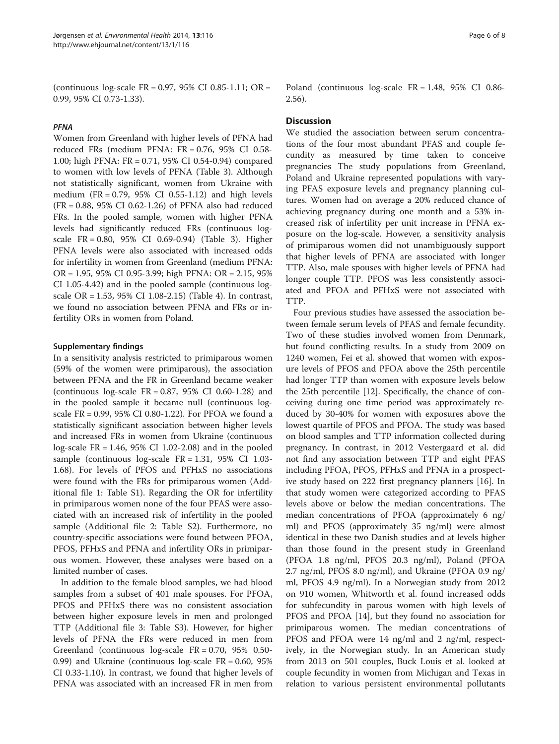(continuous log-scale FR = 0.97, 95% CI 0.85-1.11; OR = 0.99, 95% CI 0.73-1.33).

#### PFNA

Women from Greenland with higher levels of PFNA had reduced FRs (medium PFNA: FR = 0.76, 95% CI 0.58- 1.00; high PFNA: FR = 0.71, 95% CI 0.54-0.94) compared to women with low levels of PFNA (Table [3](#page-4-0)). Although not statistically significant, women from Ukraine with medium (FR = 0.79, 95% CI 0.55-1.12) and high levels (FR = 0.88, 95% CI 0.62-1.26) of PFNA also had reduced FRs. In the pooled sample, women with higher PFNA levels had significantly reduced FRs (continuous logscale FR = 0.80, 95% CI 0.69-0.94) (Table [3\)](#page-4-0). Higher PFNA levels were also associated with increased odds for infertility in women from Greenland (medium PFNA: OR = 1.95, 95% CI 0.95-3.99; high PFNA: OR = 2.15, 95% CI 1.05-4.42) and in the pooled sample (continuous logscale OR = 1.53, 95% CI 1.08-2.15) (Table [4\)](#page-4-0). In contrast, we found no association between PFNA and FRs or infertility ORs in women from Poland.

#### Supplementary findings

In a sensitivity analysis restricted to primiparous women (59% of the women were primiparous), the association between PFNA and the FR in Greenland became weaker (continuous  $log-scale FR = 0.87, 95\% CI 0.60-1.28$ ) and in the pooled sample it became null (continuous logscale FR = 0.99, 95% CI 0.80-1.22). For PFOA we found a statistically significant association between higher levels and increased FRs in women from Ukraine (continuous log-scale FR = 1.46, 95% CI 1.02-2.08) and in the pooled sample (continuous log-scale FR = 1.31, 95% CI 1.03- 1.68). For levels of PFOS and PFHxS no associations were found with the FRs for primiparous women (Additional file [1](#page-6-0): Table S1). Regarding the OR for infertility in primiparous women none of the four PFAS were associated with an increased risk of infertility in the pooled sample (Additional file [2:](#page-6-0) Table S2). Furthermore, no country-specific associations were found between PFOA, PFOS, PFHxS and PFNA and infertility ORs in primiparous women. However, these analyses were based on a limited number of cases.

In addition to the female blood samples, we had blood samples from a subset of 401 male spouses. For PFOA, PFOS and PFHxS there was no consistent association between higher exposure levels in men and prolonged TTP (Additional file [3:](#page-7-0) Table S3). However, for higher levels of PFNA the FRs were reduced in men from Greenland (continuous log-scale FR = 0.70, 95% 0.50- 0.99) and Ukraine (continuous log-scale FR = 0.60, 95% CI 0.33-1.10). In contrast, we found that higher levels of PFNA was associated with an increased FR in men from Poland (continuous log-scale FR = 1.48, 95% CI 0.86- 2.56).

#### **Discussion**

We studied the association between serum concentrations of the four most abundant PFAS and couple fecundity as measured by time taken to conceive pregnancies The study populations from Greenland, Poland and Ukraine represented populations with varying PFAS exposure levels and pregnancy planning cultures. Women had on average a 20% reduced chance of achieving pregnancy during one month and a 53% increased risk of infertility per unit increase in PFNA exposure on the log-scale. However, a sensitivity analysis of primiparous women did not unambiguously support that higher levels of PFNA are associated with longer TTP. Also, male spouses with higher levels of PFNA had longer couple TTP. PFOS was less consistently associated and PFOA and PFHxS were not associated with TTP.

Four previous studies have assessed the association between female serum levels of PFAS and female fecundity. Two of these studies involved women from Denmark, but found conflicting results. In a study from 2009 on 1240 women, Fei et al. showed that women with exposure levels of PFOS and PFOA above the 25th percentile had longer TTP than women with exposure levels below the 25th percentile [\[12\]](#page-7-0). Specifically, the chance of conceiving during one time period was approximately reduced by 30-40% for women with exposures above the lowest quartile of PFOS and PFOA. The study was based on blood samples and TTP information collected during pregnancy. In contrast, in 2012 Vestergaard et al. did not find any association between TTP and eight PFAS including PFOA, PFOS, PFHxS and PFNA in a prospective study based on 222 first pregnancy planners [\[16\]](#page-7-0). In that study women were categorized according to PFAS levels above or below the median concentrations. The median concentrations of PFOA (approximately 6 ng/ ml) and PFOS (approximately 35 ng/ml) were almost identical in these two Danish studies and at levels higher than those found in the present study in Greenland (PFOA 1.8 ng/ml, PFOS 20.3 ng/ml), Poland (PFOA 2.7 ng/ml, PFOS 8.0 ng/ml), and Ukraine (PFOA 0.9 ng/ ml, PFOS 4.9 ng/ml). In a Norwegian study from 2012 on 910 women, Whitworth et al. found increased odds for subfecundity in parous women with high levels of PFOS and PFOA [[14](#page-7-0)], but they found no association for primiparous women. The median concentrations of PFOS and PFOA were 14 ng/ml and 2 ng/ml, respectively, in the Norwegian study. In an American study from 2013 on 501 couples, Buck Louis et al. looked at couple fecundity in women from Michigan and Texas in relation to various persistent environmental pollutants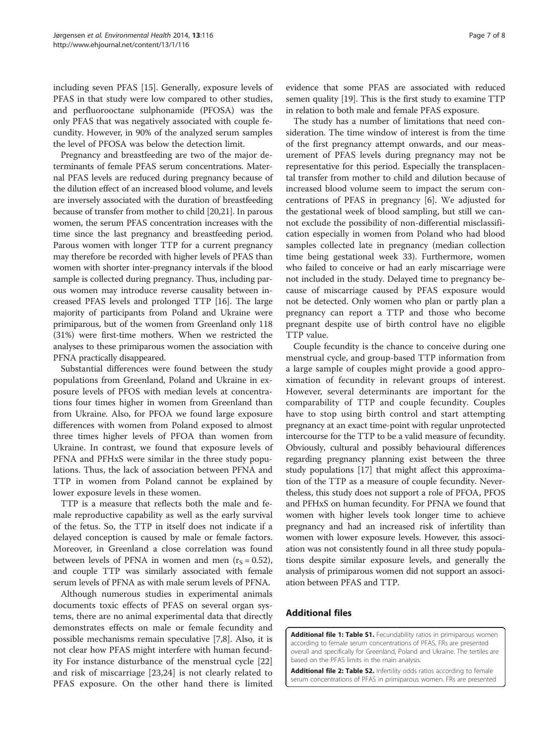<span id="page-6-0"></span>including seven PFAS [\[15](#page-7-0)]. Generally, exposure levels of PFAS in that study were low compared to other studies, and perfluorooctane sulphonamide (PFOSA) was the only PFAS that was negatively associated with couple fecundity. However, in 90% of the analyzed serum samples the level of PFOSA was below the detection limit.

Pregnancy and breastfeeding are two of the major determinants of female PFAS serum concentrations. Maternal PFAS levels are reduced during pregnancy because of the dilution effect of an increased blood volume, and levels are inversely associated with the duration of breastfeeding because of transfer from mother to child [[20,21\]](#page-7-0). In parous women, the serum PFAS concentration increases with the time since the last pregnancy and breastfeeding period. Parous women with longer TTP for a current pregnancy may therefore be recorded with higher levels of PFAS than women with shorter inter-pregnancy intervals if the blood sample is collected during pregnancy. Thus, including parous women may introduce reverse causality between increased PFAS levels and prolonged TTP [\[16\]](#page-7-0). The large majority of participants from Poland and Ukraine were primiparous, but of the women from Greenland only 118 (31%) were first-time mothers. When we restricted the analyses to these primiparous women the association with PFNA practically disappeared.

Substantial differences were found between the study populations from Greenland, Poland and Ukraine in exposure levels of PFOS with median levels at concentrations four times higher in women from Greenland than from Ukraine. Also, for PFOA we found large exposure differences with women from Poland exposed to almost three times higher levels of PFOA than women from Ukraine. In contrast, we found that exposure levels of PFNA and PFHxS were similar in the three study populations. Thus, the lack of association between PFNA and TTP in women from Poland cannot be explained by lower exposure levels in these women.

TTP is a measure that reflects both the male and female reproductive capability as well as the early survival of the fetus. So, the TTP in itself does not indicate if a delayed conception is caused by male or female factors. Moreover, in Greenland a close correlation was found between levels of PFNA in women and men  $(r<sub>S</sub> = 0.52)$ , and couple TTP was similarly associated with female serum levels of PFNA as with male serum levels of PFNA.

Although numerous studies in experimental animals documents toxic effects of PFAS on several organ systems, there are no animal experimental data that directly demonstrates effects on male or female fecundity and possible mechanisms remain speculative [\[7,8](#page-7-0)]. Also, it is not clear how PFAS might interfere with human fecundity For instance disturbance of the menstrual cycle [[22](#page-7-0)] and risk of miscarriage [[23,24\]](#page-7-0) is not clearly related to PFAS exposure. On the other hand there is limited

evidence that some PFAS are associated with reduced semen quality [\[19](#page-7-0)]. This is the first study to examine TTP in relation to both male and female PFAS exposure.

The study has a number of limitations that need consideration. The time window of interest is from the time of the first pregnancy attempt onwards, and our measurement of PFAS levels during pregnancy may not be representative for this period. Especially the transplacental transfer from mother to child and dilution because of increased blood volume seem to impact the serum concentrations of PFAS in pregnancy [\[6](#page-7-0)]. We adjusted for the gestational week of blood sampling, but still we cannot exclude the possibility of non-differential misclassification especially in women from Poland who had blood samples collected late in pregnancy (median collection time being gestational week 33). Furthermore, women who failed to conceive or had an early miscarriage were not included in the study. Delayed time to pregnancy because of miscarriage caused by PFAS exposure would not be detected. Only women who plan or partly plan a pregnancy can report a TTP and those who become pregnant despite use of birth control have no eligible TTP value.

Couple fecundity is the chance to conceive during one menstrual cycle, and group-based TTP information from a large sample of couples might provide a good approximation of fecundity in relevant groups of interest. However, several determinants are important for the comparability of TTP and couple fecundity. Couples have to stop using birth control and start attempting pregnancy at an exact time-point with regular unprotected intercourse for the TTP to be a valid measure of fecundity. Obviously, cultural and possibly behavioural differences regarding pregnancy planning exist between the three study populations [\[17\]](#page-7-0) that might affect this approximation of the TTP as a measure of couple fecundity. Nevertheless, this study does not support a role of PFOA, PFOS and PFHxS on human fecundity. For PFNA we found that women with higher levels took longer time to achieve pregnancy and had an increased risk of infertility than women with lower exposure levels. However, this association was not consistently found in all three study populations despite similar exposure levels, and generally the analysis of primiparous women did not support an association between PFAS and TTP.

## Additional files

[Additional file 1: Table S1.](http://www.biomedcentral.com/content/supplementary/1476-069X-13-116-S1.doc) Fecundability ratios in primiparous women according to female serum concentrations of PFAS. FRs are presented overall and specifically for Greenland, Poland and Ukraine. The tertiles are based on the PFAS limits in the main analysis.

[Additional file 2: Table S2.](http://www.biomedcentral.com/content/supplementary/1476-069X-13-116-S2.doc) Infertility odds ratios according to female serum concentrations of PFAS in primiparous women. FRs are presented